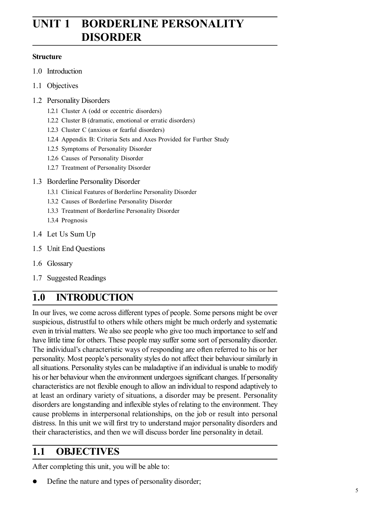# **UNIT 1 BORDERLINE PERSONALITY DISORDER**

#### **Structure**

- 1.0 Introduction
- 1.1 Objectives
- 1.2 Personality Disorders
	- 1.2.1 Cluster A (odd or eccentric disorders)
	- 1.2.2 Cluster B (dramatic, emotional or erratic disorders)
	- 1.2.3 Cluster C (anxious or fearful disorders)
	- 1.2.4 Appendix B: Criteria Sets and Axes Provided for Further Study
	- 1.2.5 Symptoms of Personality Disorder
	- 1.2.6 Causes of Personality Disorder
	- 1.2.7 Treatment of Personality Disorder
- 1.3 Borderline Personality Disorder
	- 1.3.1 Clinical Features of Borderline Personality Disorder
	- 1.3.2 Causes of Borderline Personality Disorder
	- 1.3.3 Treatment of Borderline Personality Disorder
	- 1.3.4 Prognosis
- 1.4 Let Us Sum Up
- 1.5 Unit End Questions
- 1.6 Glossary
- 1.7 Suggested Readings

# **1.0 INTRODUCTION**

In our lives, we come across different types of people. Some persons might be over suspicious, distrustful to others while others might be much orderly and systematic even in trivial matters. We also see people who give too much importance to self and have little time for others. These people may suffer some sort of personality disorder. The individual's characteristic ways of responding are often referred to his or her personality. Most people's personality styles do not affect their behaviour similarly in all situations. Personality styles can be maladaptive if an individual is unable to modify his or her behaviour when the environment undergoes significant changes. If personality characteristics are not flexible enough to allow an individual to respond adaptively to at least an ordinary variety of situations, a disorder may be present. Personality disorders are longstanding and inflexible styles of relating to the environment. They cause problems in interpersonal relationships, on the job or result into personal distress. In this unit we will first try to understand major personality disorders and their characteristics, and then we will discuss border line personality in detail.

# **1.1 OBJECTIVES**

After completing this unit, you will be able to:

Define the nature and types of personality disorder;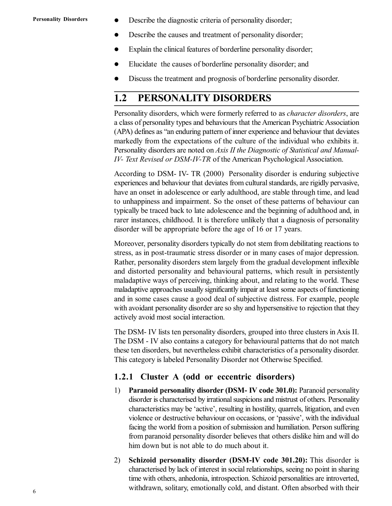- Describe the diagnostic criteria of personality disorder;
- Describe the causes and treatment of personality disorder;
- Explain the clinical features of borderline personality disorder;
- Elucidate the causes of borderline personality disorder; and
- Discuss the treatment and prognosis of borderline personality disorder.

## **1.2 PERSONALITY DISORDERS**

Personality disorders, which were formerly referred to as *character disorders*, are a class of personality types and behaviours that the American Psychiatric Association (APA) defines as "an enduring pattern of inner experience and behaviour that deviates markedly from the expectations of the culture of the individual who exhibits it. Personality disorders are noted on *Axis II the Diagnostic of Statistical and Manual-IV- Text Revised or DSM-IV-TR* of the American Psychological Association.

According to DSM- IV- TR (2000) Personality disorder is enduring subjective experiences and behaviour that deviates from cultural standards, are rigidly pervasive, have an onset in adolescence or early adulthood, are stable through time, and lead to unhappiness and impairment. So the onset of these patterns of behaviour can typically be traced back to late adolescence and the beginning of adulthood and, in rarer instances, childhood. It is therefore unlikely that a diagnosis of personality disorder will be appropriate before the age of 16 or 17 years.

Moreover, personality disorders typically do not stem from debilitating reactions to stress, as in post-traumatic stress disorder or in many cases of major depression. Rather, personality disorders stem largely from the gradual development inflexible and distorted personality and behavioural patterns, which result in persistently maladaptive ways of perceiving, thinking about, and relating to the world. These maladaptive approaches usually significantly impair at least some aspects of functioning and in some cases cause a good deal of subjective distress. For example, people with avoidant personality disorder are so shy and hypersensitive to rejection that they actively avoid most social interaction.

The DSM- IV lists ten personality disorders, grouped into three clusters in Axis II. The DSM - IV also contains a category for behavioural patterns that do not match these ten disorders, but nevertheless exhibit characteristics of a personality disorder. This category is labeled Personality Disorder not Otherwise Specified.

#### **1.2.1 Cluster A (odd or eccentric disorders)**

- 1) **Paranoid personality disorder (DSM- IV code 301.0):** Paranoid personality disorder is characterised by irrational suspicions and mistrust of others. Personality characteristics may be 'active', resulting in hostility, quarrels, litigation, and even violence or destructive behaviour on occasions, or 'passive', with the individual facing the world from a position of submission and humiliation. Person suffering from paranoid personality disorder believes that others dislike him and will do him down but is not able to do much about it.
- 2) **Schizoid personality disorder (DSM-IV code 301.20):** This disorder is characterised by lack of interest in social relationships, seeing no point in sharing time with others, anhedonia, introspection. Schizoid personalities are introverted, withdrawn, solitary, emotionally cold, and distant. Often absorbed with their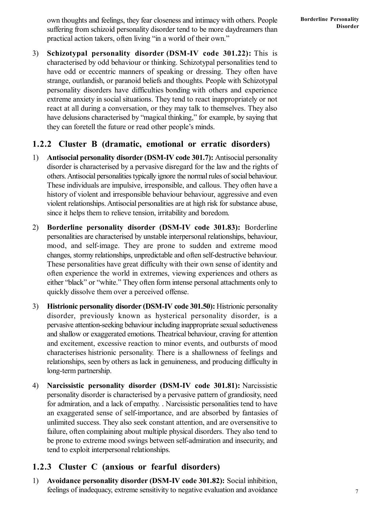3) **Schizotypal personality disorder (DSM-IV code 301.22):** This is characterised by odd behaviour or thinking. Schizotypal personalities tend to have odd or eccentric manners of speaking or dressing. They often have strange, outlandish, or paranoid beliefs and thoughts. People with Schizotypal personality disorders have difficulties bonding with others and experience extreme anxiety in social situations. They tend to react inappropriately or not react at all during a conversation, or they may talk to themselves. They also have delusions characterised by "magical thinking," for example, by saying that they can foretell the future or read other people's minds.

### **1.2.2 Cluster B (dramatic, emotional or erratic disorders)**

- 1) **Antisocial personality disorder (DSM-IV code 301.7):** Antisocial personality disorder is characterised by a pervasive disregard for the law and the rights of others. Antisocial personalities typically ignore the normal rules of social behaviour. These individuals are impulsive, irresponsible, and callous. They often have a history of violent and irresponsible behaviour behaviour, aggressive and even violent relationships. Antisocial personalities are at high risk for substance abuse, since it helps them to relieve tension, irritability and boredom.
- 2) **Borderline personality disorder (DSM-IV code 301.83):** Borderline personalities are characterised by unstable interpersonal relationships, behaviour, mood, and self-image. They are prone to sudden and extreme mood changes, stormy relationships, unpredictable and often self-destructive behaviour. These personalities have great difficulty with their own sense of identity and often experience the world in extremes, viewing experiences and others as either "black" or "white." They often form intense personal attachments only to quickly dissolve them over a perceived offense.
- 3) **Histrionic personality disorder (DSM-IV code 301.50):** Histrionic personality disorder, previously known as hysterical personality disorder, is a pervasive attention-seeking behaviour including inappropriate sexual seductiveness and shallow or exaggerated emotions. Theatrical behaviour, craving for attention and excitement, excessive reaction to minor events, and outbursts of mood characterises histrionic personality. There is a shallowness of feelings and relationships, seen by others as lack in genuineness, and producing difficulty in long-term partnership.
- 4) **Narcissistic personality disorder (DSM-IV code 301.81):** Narcissistic personality disorder is characterised by a pervasive pattern of grandiosity, need for admiration, and a lack of empathy. . Narcissistic personalities tend to have an exaggerated sense of self-importance, and are absorbed by fantasies of unlimited success. They also seek constant attention, and are oversensitive to failure, often complaining about multiple physical disorders. They also tend to be prone to extreme mood swings between self-admiration and insecurity, and tend to exploit interpersonal relationships.

## **1.2.3 Cluster C (anxious or fearful disorders)**

1) **Avoidance personality disorder (DSM-IV code 301.82):** Social inhibition, feelings of inadequacy, extreme sensitivity to negative evaluation and avoidance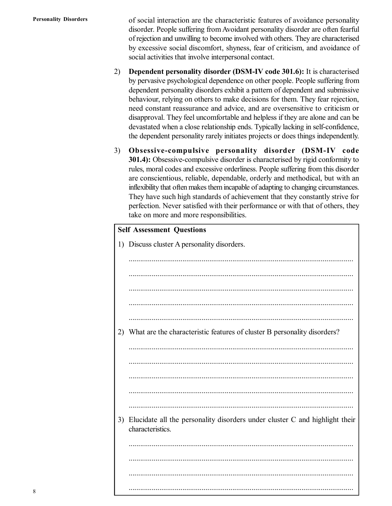of social interaction are the characteristic features of avoidance personality disorder. People suffering from Avoidant personality disorder are often fearful of rejection and unwilling to become involved with others. They are characterised by excessive social discomfort, shyness, fear of criticism, and avoidance of social activities that involve interpersonal contact.

- 2) **Dependent personality disorder (DSM-IV code 301.6):** It is characterised by pervasive psychological dependence on other people. People suffering from dependent personality disorders exhibit a pattern of dependent and submissive behaviour, relying on others to make decisions for them. They fear rejection, need constant reassurance and advice, and are oversensitive to criticism or disapproval. They feel uncomfortable and helpless if they are alone and can be devastated when a close relationship ends. Typically lacking in self-confidence, the dependent personality rarely initiates projects or does things independently.
- 3) **Obsessive-compulsive personality disorder (DSM-IV code 301.4):** Obsessive-compulsive disorder is characterised by rigid conformity to rules, moral codes and excessive orderliness. People suffering from this disorder are conscientious, reliable, dependable, orderly and methodical, but with an inflexibility that often makes them incapable of adapting to changing circumstances. They have such high standards of achievement that they constantly strive for perfection. Never satisfied with their performance or with that of others, they take on more and more responsibilities.

| <b>Self Assessment Questions</b> |                                                                                                 |  |  |
|----------------------------------|-------------------------------------------------------------------------------------------------|--|--|
| 1)                               | Discuss cluster A personality disorders.                                                        |  |  |
|                                  |                                                                                                 |  |  |
|                                  |                                                                                                 |  |  |
|                                  |                                                                                                 |  |  |
|                                  |                                                                                                 |  |  |
|                                  |                                                                                                 |  |  |
| 2)                               | What are the characteristic features of cluster B personality disorders?                        |  |  |
|                                  |                                                                                                 |  |  |
|                                  |                                                                                                 |  |  |
|                                  |                                                                                                 |  |  |
|                                  |                                                                                                 |  |  |
|                                  |                                                                                                 |  |  |
| 3)                               | Elucidate all the personality disorders under cluster C and highlight their<br>characteristics. |  |  |
|                                  |                                                                                                 |  |  |
|                                  |                                                                                                 |  |  |
|                                  |                                                                                                 |  |  |
|                                  |                                                                                                 |  |  |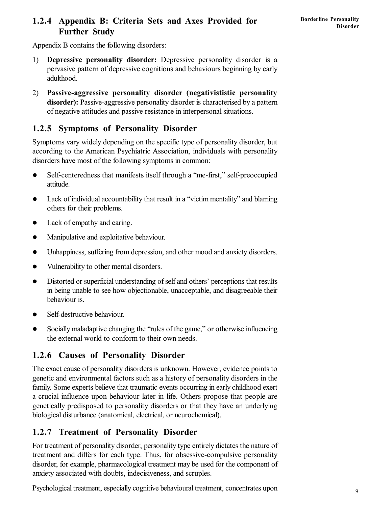### **1.2.4 Appendix B: Criteria Sets and Axes Provided for Further Study**

Appendix B contains the following disorders:

- 1) **Depressive personality disorder:** Depressive personality disorder is a pervasive pattern of depressive cognitions and behaviours beginning by early adulthood.
- 2) **Passive-aggressive personality disorder (negativististic personality disorder):** Passive-aggressive personality disorder is characterised by a pattern of negative attitudes and passive resistance in interpersonal situations.

## **1.2.5 Symptoms of Personality Disorder**

Symptoms vary widely depending on the specific type of personality disorder, but according to the American Psychiatric Association, individuals with personality disorders have most of the following symptoms in common:

- Self-centeredness that manifests itself through a "me-first," self-preoccupied attitude.
- Lack of individual accountability that result in a "victim mentality" and blaming others for their problems.
- Lack of empathy and caring.
- Manipulative and exploitative behaviour.
- Unhappiness, suffering from depression, and other mood and anxiety disorders.
- Vulnerability to other mental disorders.
- Distorted or superficial understanding of self and others' perceptions that results in being unable to see how objectionable, unacceptable, and disagreeable their behaviour is.
- Self-destructive behaviour.
- Socially maladaptive changing the "rules of the game," or otherwise influencing the external world to conform to their own needs.

## **1.2.6 Causes of Personality Disorder**

The exact cause of personality disorders is unknown. However, evidence points to genetic and environmental factors such as a history of personality disorders in the family. Some experts believe that traumatic events occurring in early childhood exert a crucial influence upon behaviour later in life. Others propose that people are genetically predisposed to personality disorders or that they have an underlying biological disturbance (anatomical, electrical, or neurochemical).

## **1.2.7 Treatment of Personality Disorder**

For treatment of personality disorder, personality type entirely dictates the nature of treatment and differs for each type. Thus, for obsessive-compulsive personality disorder, for example, pharmacological treatment may be used for the component of anxiety associated with doubts, indecisiveness, and scruples.

Psychological treatment, especially cognitive behavioural treatment, concentrates upon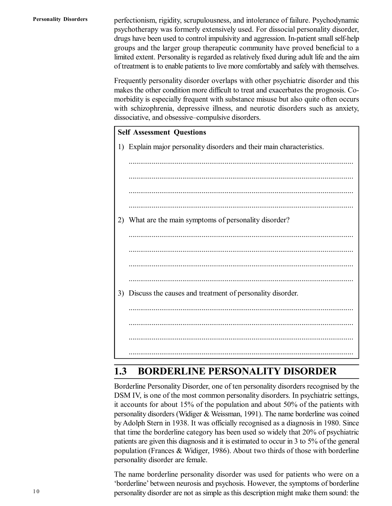perfectionism, rigidity, scrupulousness, and intolerance of failure. Psychodynamic psychotherapy was formerly extensively used. For dissocial personality disorder, drugs have been used to control impulsivity and aggression. In-patient small self-help groups and the larger group therapeutic community have proved beneficial to a limited extent. Personality is regarded as relatively fixed during adult life and the aim of treatment is to enable patients to live more comfortably and safely with themselves.

Frequently personality disorder overlaps with other psychiatric disorder and this makes the other condition more difficult to treat and exacerbates the prognosis. Comorbidity is especially frequent with substance misuse but also quite often occurs with schizophrenia, depressive illness, and neurotic disorders such as anxiety, dissociative, and obsessive–compulsive disorders.

#### **Self Assessment Questions**

1) Explain major personality disorders and their main characteristics.

..................................................................................................................... ..................................................................................................................... ..................................................................................................................... ..................................................................................................................... 2) What are the main symptoms of personality disorder? ..................................................................................................................... ..................................................................................................................... ..................................................................................................................... ..................................................................................................................... 3) Discuss the causes and treatment of personality disorder. ..................................................................................................................... ..................................................................................................................... ..................................................................................................................... .....................................................................................................................

## **1.3 BORDERLINE PERSONALITY DISORDER**

Borderline Personality Disorder, one of ten personality disorders recognised by the DSM IV, is one of the most common personality disorders. In psychiatric settings, it accounts for about 15% of the population and about 50% of the patients with personality disorders (Widiger & Weissman, 1991). The name borderline was coined by Adolph Stern in 1938. It was officially recognised as a diagnosis in 1980. Since that time the borderline category has been used so widely that 20% of psychiatric patients are given this diagnosis and it is estimated to occur in 3 to 5% of the general population (Frances & Widiger, 1986). About two thirds of those with borderline personality disorder are female.

The name borderline personality disorder was used for patients who were on a 'borderline' between neurosis and psychosis. However, the symptoms of borderline personality disorder are not as simple as this description might make them sound: the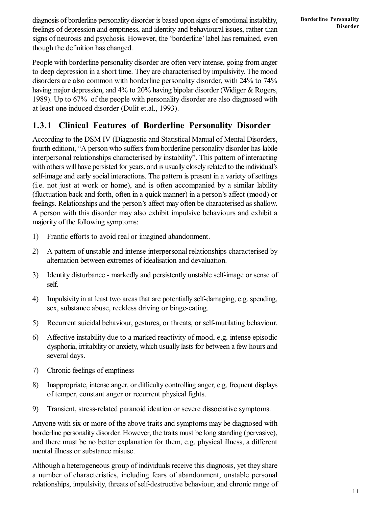diagnosis of borderline personality disorder is based upon signs of emotional instability, feelings of depression and emptiness, and identity and behavioural issues, rather than signs of neurosis and psychosis. However, the 'borderline' label has remained, even though the definition has changed.

People with borderline personality disorder are often very intense, going from anger to deep depression in a short time. They are characterised by impulsivity. The mood disorders are also common with borderline personality disorder, with 24% to 74% having major depression, and 4% to 20% having bipolar disorder (Widiger & Rogers, 1989). Up to 67% of the people with personality disorder are also diagnosed with at least one induced disorder (Dulit et.al., 1993).

### **1.3.1 Clinical Features of Borderline Personality Disorder**

According to the DSM IV (Diagnostic and Statistical Manual of Mental Disorders, fourth edition), "A person who suffers from borderline personality disorder has labile interpersonal relationships characterised by instability". This pattern of interacting with others will have persisted for years, and is usually closely related to the individual's self-image and early social interactions. The pattern is present in a variety of settings (i.e. not just at work or home), and is often accompanied by a similar lability (fluctuation back and forth, often in a quick manner) in a person's affect (mood) or feelings. Relationships and the person's affect may often be characterised as shallow. A person with this disorder may also exhibit impulsive behaviours and exhibit a majority of the following symptoms:

- 1) Frantic efforts to avoid real or imagined abandonment.
- 2) A pattern of unstable and intense interpersonal relationships characterised by alternation between extremes of idealisation and devaluation.
- 3) Identity disturbance markedly and persistently unstable self-image or sense of self.
- 4) Impulsivity in at least two areas that are potentially self-damaging, e.g. spending, sex, substance abuse, reckless driving or binge-eating.
- 5) Recurrent suicidal behaviour, gestures, or threats, or self-mutilating behaviour.
- 6) Affective instability due to a marked reactivity of mood, e.g. intense episodic dysphoria, irritability or anxiety, which usually lasts for between a few hours and several days.
- 7) Chronic feelings of emptiness
- 8) Inappropriate, intense anger, or difficulty controlling anger, e.g. frequent displays of temper, constant anger or recurrent physical fights.
- 9) Transient, stress-related paranoid ideation or severe dissociative symptoms.

Anyone with six or more of the above traits and symptoms may be diagnosed with borderline personality disorder. However, the traits must be long standing (pervasive), and there must be no better explanation for them, e.g. physical illness, a different mental illness or substance misuse.

Although a heterogeneous group of individuals receive this diagnosis, yet they share a number of characteristics, including fears of abandonment, unstable personal relationships, impulsivity, threats of self-destructive behaviour, and chronic range of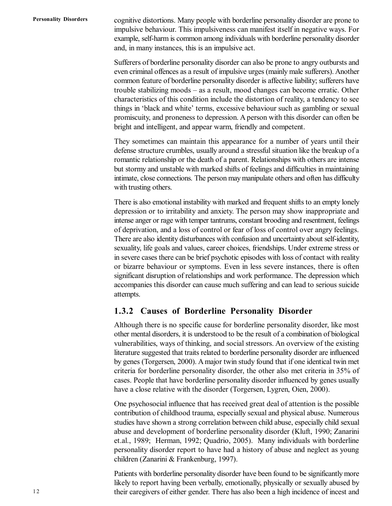cognitive distortions. Many people with borderline personality disorder are prone to impulsive behaviour. This impulsiveness can manifest itself in negative ways. For example, self-harm is common among individuals with borderline personality disorder and, in many instances, this is an impulsive act.

Sufferers of borderline personality disorder can also be prone to angry outbursts and even criminal offences as a result of impulsive urges (mainly male sufferers). Another common feature of borderline personality disorder is affective liability; sufferers have trouble stabilizing moods – as a result, mood changes can become erratic. Other characteristics of this condition include the distortion of reality, a tendency to see things in 'black and white' terms, excessive behaviour such as gambling or sexual promiscuity, and proneness to depression. A person with this disorder can often be bright and intelligent, and appear warm, friendly and competent.

They sometimes can maintain this appearance for a number of years until their defense structure crumbles, usually around a stressful situation like the breakup of a romantic relationship or the death of a parent. Relationships with others are intense but stormy and unstable with marked shifts of feelings and difficulties in maintaining intimate, close connections. The person may manipulate others and often has difficulty with trusting others.

There is also emotional instability with marked and frequent shifts to an empty lonely depression or to irritability and anxiety. The person may show inappropriate and intense anger or rage with temper tantrums, constant brooding and resentment, feelings of deprivation, and a loss of control or fear of loss of control over angry feelings. There are also identity disturbances with confusion and uncertainty about self-identity, sexuality, life goals and values, career choices, friendships. Under extreme stress or in severe cases there can be brief psychotic episodes with loss of contact with reality or bizarre behaviour or symptoms. Even in less severe instances, there is often significant disruption of relationships and work performance. The depression which accompanies this disorder can cause much suffering and can lead to serious suicide attempts.

#### **1.3.2 Causes of Borderline Personality Disorder**

Although there is no specific cause for borderline personality disorder, like most other mental disorders, it is understood to be the result of a combination of biological vulnerabilities, ways of thinking, and social stressors. An overview of the existing literature suggested that traits related to borderline personality disorder are influenced by genes (Torgersen, 2000). A major twin study found that if one identical twin met criteria for borderline personality disorder, the other also met criteria in 35% of cases. People that have borderline personality disorder influenced by genes usually have a close relative with the disorder (Torgersen, Lygren, Oien, 2000).

One psychosocial influence that has received great deal of attention is the possible contribution of childhood trauma, especially sexual and physical abuse. Numerous studies have shown a strong correlation between child abuse, especially child sexual abuse and development of borderline personality disorder (Kluft, 1990; Zanarini et.al., 1989; Herman, 1992; Quadrio, 2005). Many individuals with borderline personality disorder report to have had a history of abuse and neglect as young children (Zanarini & Frankenburg, 1997).

Patients with borderline personality disorder have been found to be significantly more likely to report having been verbally, emotionally, physically or sexually abused by their caregivers of either gender. There has also been a high incidence of incest and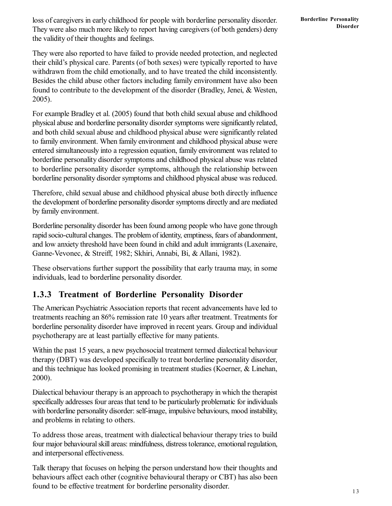loss of caregivers in early childhood for people with borderline personality disorder. They were also much more likely to report having caregivers (of both genders) deny the validity of their thoughts and feelings.

They were also reported to have failed to provide needed protection, and neglected their child's physical care. Parents (of both sexes) were typically reported to have withdrawn from the child emotionally, and to have treated the child inconsistently. Besides the child abuse other factors including family environment have also been found to contribute to the development of the disorder (Bradley, Jenei, & Westen, 2005).

For example Bradley et al. (2005) found that both child sexual abuse and childhood physical abuse and borderline personality disorder symptoms were significantly related, and both child sexual abuse and childhood physical abuse were significantly related to family environment. When family environment and childhood physical abuse were entered simultaneously into a regression equation, family environment was related to borderline personality disorder symptoms and childhood physical abuse was related to borderline personality disorder symptoms, although the relationship between borderline personality disorder symptoms and childhood physical abuse was reduced.

Therefore, child sexual abuse and childhood physical abuse both directly influence the development of borderline personality disorder symptoms directly and are mediated by family environment.

Borderline personality disorder has been found among people who have gone through rapid socio-cultural changes. The problem of identity, emptiness, fears of abandonment, and low anxiety threshold have been found in child and adult immigrants (Laxenaire, Ganne-Vevonec, & Streiff, 1982; Skhiri, Annabi, Bi, & Allani, 1982).

These observations further support the possibility that early trauma may, in some individuals, lead to borderline personality disorder.

## **1.3.3 Treatment of Borderline Personality Disorder**

The American Psychiatric Association reports that recent advancements have led to treatments reaching an 86% remission rate 10 years after treatment. Treatments for borderline personality disorder have improved in recent years. Group and individual psychotherapy are at least partially effective for many patients.

Within the past 15 years, a new psychosocial treatment termed dialectical behaviour therapy (DBT) was developed specifically to treat borderline personality disorder, and this technique has looked promising in treatment studies (Koerner, & Linehan, 2000).

Dialectical behaviour therapy is an approach to psychotherapy in which the therapist specifically addresses four areas that tend to be particularly problematic for individuals with borderline personality disorder: self-image, impulsive behaviours, mood instability, and problems in relating to others.

To address those areas, treatment with dialectical behaviour therapy tries to build four major behavioural skill areas: mindfulness, distress tolerance, emotional regulation, and interpersonal effectiveness.

Talk therapy that focuses on helping the person understand how their thoughts and behaviours affect each other (cognitive behavioural therapy or CBT) has also been found to be effective treatment for borderline personality disorder.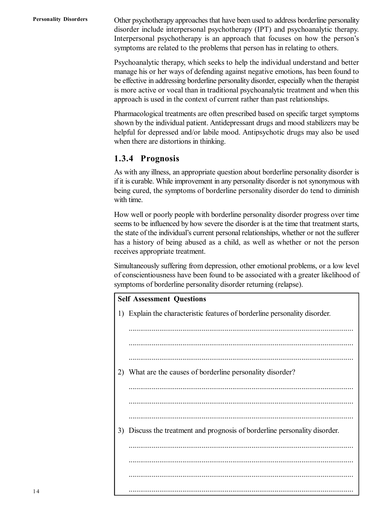Other psychotherapy approaches that have been used to address borderline personality disorder include interpersonal psychotherapy (IPT) and psychoanalytic therapy. Interpersonal psychotherapy is an approach that focuses on how the person's symptoms are related to the problems that person has in relating to others.

Psychoanalytic therapy, which seeks to help the individual understand and better manage his or her ways of defending against negative emotions, has been found to be effective in addressing borderline personality disorder, especially when the therapist is more active or vocal than in traditional psychoanalytic treatment and when this approach is used in the context of current rather than past relationships.

Pharmacological treatments are often prescribed based on specific target symptoms shown by the individual patient. Antidepressant drugs and mood stabilizers may be helpful for depressed and/or labile mood. Antipsychotic drugs may also be used when there are distortions in thinking.

#### **1.3.4 Prognosis**

As with any illness, an appropriate question about borderline personality disorder is if it is curable. While improvement in any personality disorder is not synonymous with being cured, the symptoms of borderline personality disorder do tend to diminish with time.

How well or poorly people with borderline personality disorder progress over time seems to be influenced by how severe the disorder is at the time that treatment starts, the state of the individual's current personal relationships, whether or not the sufferer has a history of being abused as a child, as well as whether or not the person receives appropriate treatment.

Simultaneously suffering from depression, other emotional problems, or a low level of conscientiousness have been found to be associated with a greater likelihood of symptoms of borderline personality disorder returning (relapse).

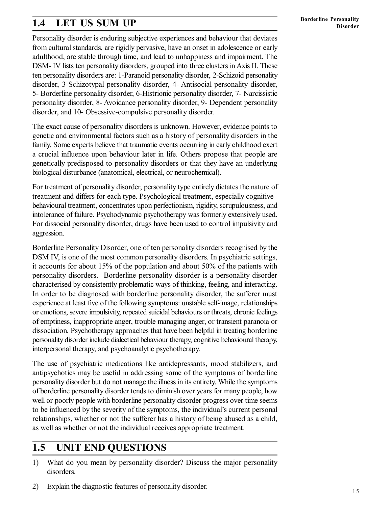## **1.4 LET US SUM UP**

Personality disorder is enduring subjective experiences and behaviour that deviates from cultural standards, are rigidly pervasive, have an onset in adolescence or early adulthood, are stable through time, and lead to unhappiness and impairment. The DSM- IV lists ten personality disorders, grouped into three clusters in Axis II. These ten personality disorders are: 1-Paranoid personality disorder, 2-Schizoid personality disorder, 3-Schizotypal personality disorder, 4- Antisocial personality disorder, 5- Borderline personality disorder, 6-Histrionic personality disorder, 7- Narcissistic personality disorder, 8- Avoidance personality disorder, 9- Dependent personality disorder, and 10- Obsessive-compulsive personality disorder.

The exact cause of personality disorders is unknown. However, evidence points to genetic and environmental factors such as a history of personality disorders in the family. Some experts believe that traumatic events occurring in early childhood exert a crucial influence upon behaviour later in life. Others propose that people are genetically predisposed to personality disorders or that they have an underlying biological disturbance (anatomical, electrical, or neurochemical).

For treatment of personality disorder, personality type entirely dictates the nature of treatment and differs for each type. Psychological treatment, especially cognitive– behavioural treatment, concentrates upon perfectionism, rigidity, scrupulousness, and intolerance of failure. Psychodynamic psychotherapy was formerly extensively used. For dissocial personality disorder, drugs have been used to control impulsivity and aggression.

Borderline Personality Disorder, one of ten personality disorders recognised by the DSM IV, is one of the most common personality disorders. In psychiatric settings, it accounts for about 15% of the population and about 50% of the patients with personality disorders. Borderline personality disorder is a personality disorder characterised by consistently problematic ways of thinking, feeling, and interacting. In order to be diagnosed with borderline personality disorder, the sufferer must experience at least five of the following symptoms: unstable self-image, relationships or emotions, severe impulsivity, repeated suicidal behaviours or threats, chronic feelings of emptiness, inappropriate anger, trouble managing anger, or transient paranoia or dissociation. Psychotherapy approaches that have been helpful in treating borderline personality disorder include dialectical behaviour therapy, cognitive behavioural therapy, interpersonal therapy, and psychoanalytic psychotherapy.

The use of psychiatric medications like antidepressants, mood stabilizers, and antipsychotics may be useful in addressing some of the symptoms of borderline personality disorder but do not manage the illness in its entirety. While the symptoms of borderline personality disorder tends to diminish over years for many people, how well or poorly people with borderline personality disorder progress over time seems to be influenced by the severity of the symptoms, the individual's current personal relationships, whether or not the sufferer has a history of being abused as a child, as well as whether or not the individual receives appropriate treatment.

## **1.5 UNIT END QUESTIONS**

- 1) What do you mean by personality disorder? Discuss the major personality disorders.
- 2) Explain the diagnostic features of personality disorder.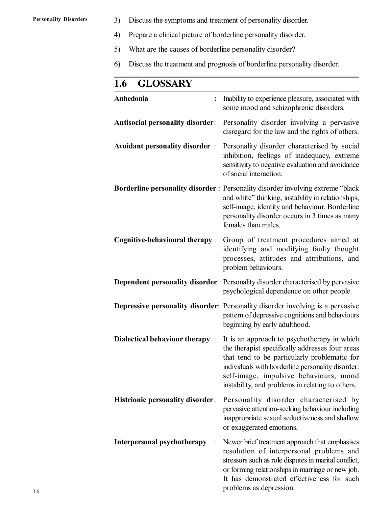- 3) Discuss the symptoms and treatment of personality disorder.
- 4) Prepare a clinical picture of borderline personality disorder.
- 5) What are the causes of borderline personality disorder?
- 6) Discuss the treatment and prognosis of borderline personality disorder.

| <b>GLOSSARY</b><br>1.6                  |                                                                                                                                                                                                                                                                                                   |
|-----------------------------------------|---------------------------------------------------------------------------------------------------------------------------------------------------------------------------------------------------------------------------------------------------------------------------------------------------|
| Anhedonia<br>$\ddot{\cdot}$             | Inability to experience pleasure, associated with<br>some mood and schizophrenic disorders.                                                                                                                                                                                                       |
| <b>Antisocial personality disorder:</b> | Personality disorder involving a pervasive<br>disregard for the law and the rights of others.                                                                                                                                                                                                     |
| <b>Avoidant personality disorder:</b>   | Personality disorder characterised by social<br>inhibition, feelings of inadequacy, extreme<br>sensitivity to negative evaluation and avoidance<br>of social interaction.                                                                                                                         |
|                                         | Borderline personality disorder: Personality disorder involving extreme "black<br>and white" thinking, instability in relationships,<br>self-image, identity and behaviour. Borderline<br>personality disorder occurs in 3 times as many<br>females than males.                                   |
| <b>Cognitive-behavioural therapy:</b>   | Group of treatment procedures aimed at<br>identifying and modifying faulty thought<br>processes, attitudes and attributions, and<br>problem behaviours.                                                                                                                                           |
|                                         | <b>Dependent personality disorder</b> : Personality disorder characterised by pervasive<br>psychological dependence on other people.                                                                                                                                                              |
|                                         | <b>Depressive personality disorder:</b> Personality disorder involving is a pervasive<br>pattern of depressive cognitions and behaviours<br>beginning by early adulthood.                                                                                                                         |
| <b>Dialectical behaviour therapy:</b>   | It is an approach to psychotherapy in which<br>the therapist specifically addresses four areas<br>that tend to be particularly problematic for<br>individuals with borderline personality disorder:<br>self-image, impulsive behaviours, mood<br>instability, and problems in relating to others. |
| <b>Histrionic personality disorder:</b> | Personality disorder characterised by<br>pervasive attention-seeking behaviour including<br>inappropriate sexual seductiveness and shallow<br>or exaggerated emotions.                                                                                                                            |
| Interpersonal psychotherapy             | Newer brief treatment approach that emphasises<br>resolution of interpersonal problems and<br>stressors such as role disputes in marital conflict,<br>or forming relationships in marriage or new job.<br>It has demonstrated effectiveness for such<br>problems as depression.                   |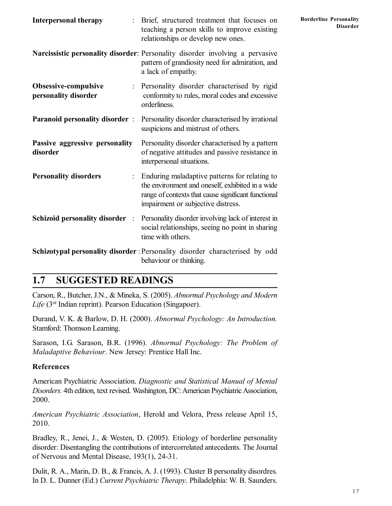| <b>Interpersonal therapy</b>                 | Brief, structured treatment that focuses on<br>teaching a person skills to improve existing<br>relationships or develop new ones.                                                              | <b>Borderline Personality</b><br><b>Disorder</b> |
|----------------------------------------------|------------------------------------------------------------------------------------------------------------------------------------------------------------------------------------------------|--------------------------------------------------|
|                                              | Narcissistic personality disorder: Personality disorder involving a pervasive<br>pattern of grandiosity need for admiration, and<br>a lack of empathy.                                         |                                                  |
| Obsessive-compulsive<br>personality disorder | Personality disorder characterised by rigid<br>conformity to rules, moral codes and excessive<br>orderliness.                                                                                  |                                                  |
| <b>Paranoid personality disorder:</b>        | Personality disorder characterised by irrational<br>suspicions and mistrust of others.                                                                                                         |                                                  |
| Passive aggressive personality<br>disorder   | Personality disorder characterised by a pattern<br>of negative attitudes and passive resistance in<br>interpersonal situations.                                                                |                                                  |
| <b>Personality disorders</b>                 | Enduring maladaptive patterns for relating to<br>the environment and oneself, exhibited in a wide<br>range of contexts that cause significant functional<br>impairment or subjective distress. |                                                  |
| <b>Schizoid personality disorder</b> :       | Personality disorder involving lack of interest in<br>social relationships, seeing no point in sharing<br>time with others.                                                                    |                                                  |
|                                              | Schizotypal personality disorder : Personality disorder characterised by odd<br>behaviour or thinking.                                                                                         |                                                  |

## **1.7 SUGGESTED READINGS**

Carson, R., Butcher, J.N., & Mineka, S. (2005). *Abnormal Psychology and Modern Life* (3rd Indian reprint). Pearson Education (Singapoer).

Durand, V. K. & Barlow, D. H. (2000). *Abnormal Psychology: An Introduction.* Stamford: Thomson Learning.

Sarason, I.G. Sarason, B.R. (1996). *Abnormal Psychology: The Problem of Maladaptive Behaviour*. New Jersey: Prentice Hall Inc.

#### **References**

American Psychiatric Association. *Diagnostic and Statistical Manual of Mental Disorders.* 4th edition, text revised. Washington, DC: American Psychiatric Association, 2000.

*American Psychiatric Association*, Herold and Velora, Press release April 15, 2010.

Bradley, R., Jenei, J., & Westen, D. (2005). Etiology of borderline personality disorder: Disentangling the contributions of intercorrelated antecedents. The Journal of Nervous and Mental Disease, 193(1), 24-31.

Dulit, R. A., Marin, D. B., & Francis, A. J. (1993). Cluster B personality disordres. In D. L. Dunner (Ed.) *Current Psychiatric Therapy*. Philadelphia: W. B. Saunders.